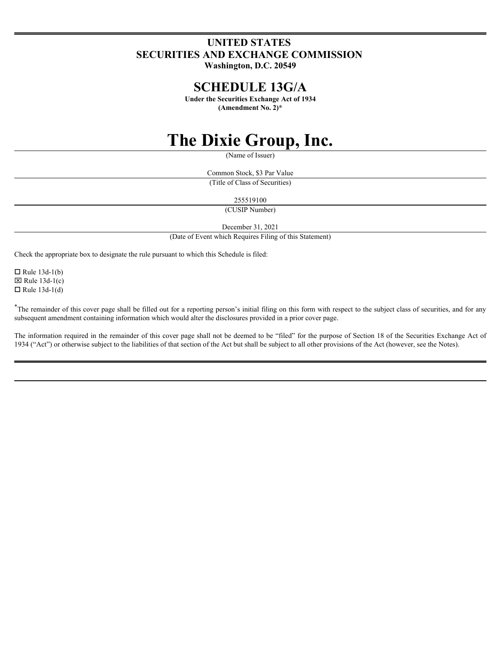# **UNITED STATES SECURITIES AND EXCHANGE COMMISSION**

**Washington, D.C. 20549**

# **SCHEDULE 13G/A**

**Under the Securities Exchange Act of 1934 (Amendment No. 2)\***

# **The Dixie Group, Inc.**

(Name of Issuer)

Common Stock, \$3 Par Value (Title of Class of Securities)

255519100

(CUSIP Number)

December 31, 2021

(Date of Event which Requires Filing of this Statement)

Check the appropriate box to designate the rule pursuant to which this Schedule is filed:

 $\Box$  Rule 13d-1(b)  $\boxtimes$  Rule 13d-1(c)  $\Box$  Rule 13d-1(d)

\*The remainder of this cover page shall be filled out for a reporting person's initial filing on this form with respect to the subject class of securities, and for any subsequent amendment containing information which would alter the disclosures provided in a prior cover page.

The information required in the remainder of this cover page shall not be deemed to be "filed" for the purpose of Section 18 of the Securities Exchange Act of 1934 ("Act") or otherwise subject to the liabilities of that section of the Act but shall be subject to all other provisions of the Act (however, see the Notes).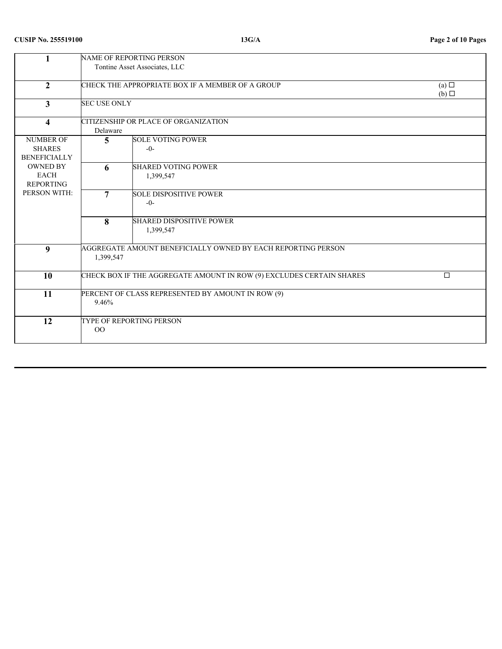# **CUSIP No. 255519100 13G/A Page 2 of 10 Pages**

|                                                                             |                     | NAME OF REPORTING PERSON<br>Tontine Asset Associates, LLC            |                                    |
|-----------------------------------------------------------------------------|---------------------|----------------------------------------------------------------------|------------------------------------|
| $\overline{2}$                                                              |                     | CHECK THE APPROPRIATE BOX IF A MEMBER OF A GROUP                     | $(a)$ $\square$<br>$(b)$ $\square$ |
| $\mathbf{3}$                                                                | <b>SEC USE ONLY</b> |                                                                      |                                    |
| $\overline{\mathbf{4}}$                                                     | Delaware            | CITIZENSHIP OR PLACE OF ORGANIZATION                                 |                                    |
| <b>NUMBER OF</b><br><b>SHARES</b><br><b>BENEFICIALLY</b><br><b>OWNED BY</b> | 5 <sup>5</sup><br>6 | <b>SOLE VOTING POWER</b><br>$-0-$<br><b>SHARED VOTING POWER</b>      |                                    |
| EACH<br>REPORTING                                                           |                     | 1,399,547                                                            |                                    |
| PERSON WITH:                                                                | $\overline{7}$      | <b>SOLE DISPOSITIVE POWER</b><br>$-0-$                               |                                    |
|                                                                             | 8                   | <b>SHARED DISPOSITIVE POWER</b><br>1,399,547                         |                                    |
| 9                                                                           | 1,399,547           | AGGREGATE AMOUNT BENEFICIALLY OWNED BY EACH REPORTING PERSON         |                                    |
| 10                                                                          |                     | CHECK BOX IF THE AGGREGATE AMOUNT IN ROW (9) EXCLUDES CERTAIN SHARES | $\Box$                             |
| 11                                                                          | 9.46%               | PERCENT OF CLASS REPRESENTED BY AMOUNT IN ROW (9)                    |                                    |
| 12                                                                          | $00\,$              | TYPE OF REPORTING PERSON                                             |                                    |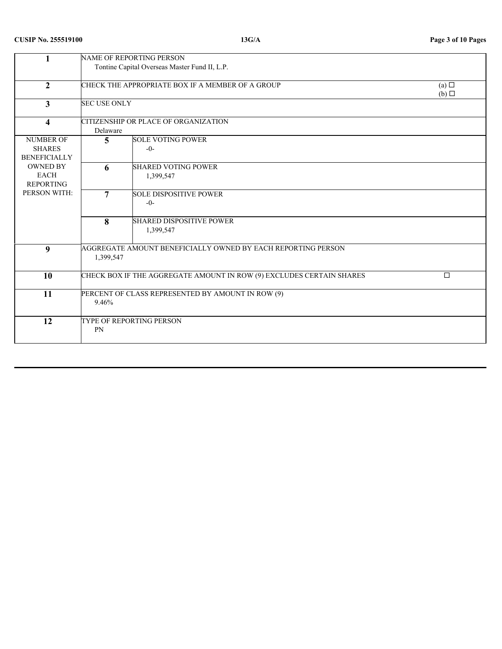# **CUSIP No. 255519100 13G/A Page 3 of 10 Pages**

|                                                                             |                     | NAME OF REPORTING PERSON<br>Tontine Capital Overseas Master Fund II, L.P. |                        |
|-----------------------------------------------------------------------------|---------------------|---------------------------------------------------------------------------|------------------------|
| $\overline{2}$                                                              |                     | CHECK THE APPROPRIATE BOX IF A MEMBER OF A GROUP                          | (a)<br>$(b)$ $\square$ |
| $3^{\circ}$                                                                 | <b>SEC USE ONLY</b> |                                                                           |                        |
| $\overline{\mathbf{4}}$                                                     | Delaware            | CITIZENSHIP OR PLACE OF ORGANIZATION                                      |                        |
| <b>NUMBER OF</b><br><b>SHARES</b><br><b>BENEFICIALLY</b><br><b>OWNED BY</b> | 5 <sup>5</sup><br>6 | <b>SOLE VOTING POWER</b><br>$-0-$<br><b>SHARED VOTING POWER</b>           |                        |
| EACH<br>REPORTING                                                           |                     | 1,399,547                                                                 |                        |
| PERSON WITH:                                                                | $\overline{7}$      | <b>SOLE DISPOSITIVE POWER</b><br>$-0-$                                    |                        |
|                                                                             | 8                   | <b>SHARED DISPOSITIVE POWER</b><br>1,399,547                              |                        |
| 9                                                                           | 1,399,547           | AGGREGATE AMOUNT BENEFICIALLY OWNED BY EACH REPORTING PERSON              |                        |
| 10                                                                          |                     | CHECK BOX IF THE AGGREGATE AMOUNT IN ROW (9) EXCLUDES CERTAIN SHARES      | $\Box$                 |
| 11                                                                          | 9.46%               | PERCENT OF CLASS REPRESENTED BY AMOUNT IN ROW (9)                         |                        |
| 12                                                                          | PN                  | TYPE OF REPORTING PERSON                                                  |                        |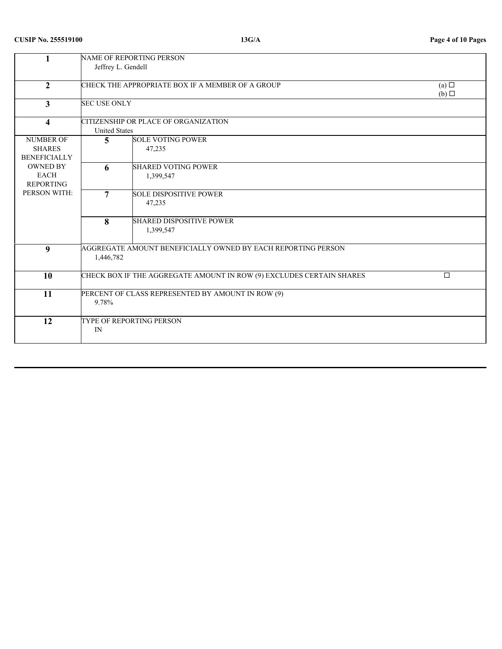# **CUSIP No. 255519100 13G/A Page 4 of 10 Pages**

|                                                          | Jeffrey L. Gendell   | NAME OF REPORTING PERSON                                             |                 |
|----------------------------------------------------------|----------------------|----------------------------------------------------------------------|-----------------|
| $\overline{2}$                                           |                      | CHECK THE APPROPRIATE BOX IF A MEMBER OF A GROUP                     | (a) $\Box$      |
| $3^{\circ}$                                              | <b>SEC USE ONLY</b>  |                                                                      | $(b)$ $\square$ |
| $\overline{\mathbf{4}}$                                  | <b>United States</b> | CITIZENSHIP OR PLACE OF ORGANIZATION                                 |                 |
| <b>NUMBER OF</b><br><b>SHARES</b><br><b>BENEFICIALLY</b> | $\overline{5}$       | <b>SOLE VOTING POWER</b><br>47,235                                   |                 |
| <b>OWNED BY</b><br>EACH<br><b>REPORTING</b>              | 6                    | <b>SHARED VOTING POWER</b><br>1,399,547                              |                 |
| PERSON WITH:                                             | $\overline{7}$       | <b>SOLE DISPOSITIVE POWER</b><br>47,235                              |                 |
|                                                          | 8                    | <b>SHARED DISPOSITIVE POWER</b><br>1,399,547                         |                 |
| 9                                                        | 1,446,782            | AGGREGATE AMOUNT BENEFICIALLY OWNED BY EACH REPORTING PERSON         |                 |
| 10                                                       |                      | CHECK BOX IF THE AGGREGATE AMOUNT IN ROW (9) EXCLUDES CERTAIN SHARES | $\Box$          |
| 11                                                       | 9.78%                | PERCENT OF CLASS REPRESENTED BY AMOUNT IN ROW (9)                    |                 |
| $\overline{12}$                                          | IN                   | TYPE OF REPORTING PERSON                                             |                 |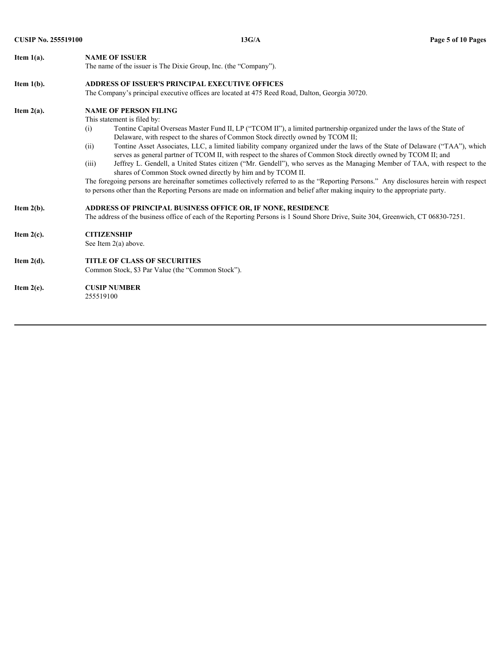| <b>CUSIP No. 255519100</b> | 13G/A                                                                                                                                                                                                             | Page 5 of 10 Pages |
|----------------------------|-------------------------------------------------------------------------------------------------------------------------------------------------------------------------------------------------------------------|--------------------|
| Item $1(a)$ .              | <b>NAME OF ISSUER</b>                                                                                                                                                                                             |                    |
|                            | The name of the issuer is The Dixie Group, Inc. (the "Company").                                                                                                                                                  |                    |
| Item $1(b)$ .              | <b>ADDRESS OF ISSUER'S PRINCIPAL EXECUTIVE OFFICES</b>                                                                                                                                                            |                    |
|                            | The Company's principal executive offices are located at 475 Reed Road, Dalton, Georgia 30720.                                                                                                                    |                    |
| Item $2(a)$ .              | <b>NAME OF PERSON FILING</b>                                                                                                                                                                                      |                    |
|                            | This statement is filed by:                                                                                                                                                                                       |                    |
|                            | Tontine Capital Overseas Master Fund II, LP ("TCOM II"), a limited partnership organized under the laws of the State of<br>(i)<br>Delaware, with respect to the shares of Common Stock directly owned by TCOM II; |                    |
|                            | Tontine Asset Associates, LLC, a limited liability company organized under the laws of the State of Delaware ("TAA"), which<br>(ii)                                                                               |                    |
|                            | serves as general partner of TCOM II, with respect to the shares of Common Stock directly owned by TCOM II; and                                                                                                   |                    |
|                            | Jeffrey L. Gendell, a United States citizen ("Mr. Gendell"), who serves as the Managing Member of TAA, with respect to the<br>(iii)<br>shares of Common Stock owned directly by him and by TCOM II.               |                    |
|                            | The foregoing persons are hereinafter sometimes collectively referred to as the "Reporting Persons." Any disclosures herein with respect                                                                          |                    |
|                            | to persons other than the Reporting Persons are made on information and belief after making inquiry to the appropriate party.                                                                                     |                    |
| Item $2(b)$ .              | ADDRESS OF PRINCIPAL BUSINESS OFFICE OR, IF NONE, RESIDENCE                                                                                                                                                       |                    |
|                            | The address of the business office of each of the Reporting Persons is 1 Sound Shore Drive, Suite 304, Greenwich, CT 06830-7251.                                                                                  |                    |
| Item $2(c)$ .              | <b>CITIZENSHIP</b>                                                                                                                                                                                                |                    |
|                            | See Item $2(a)$ above.                                                                                                                                                                                            |                    |
| Item $2(d)$ .              | <b>TITLE OF CLASS OF SECURITIES</b>                                                                                                                                                                               |                    |
|                            | Common Stock, \$3 Par Value (the "Common Stock").                                                                                                                                                                 |                    |
| Item $2(e)$ .              | <b>CUSIP NUMBER</b>                                                                                                                                                                                               |                    |
|                            | 255519100                                                                                                                                                                                                         |                    |
|                            |                                                                                                                                                                                                                   |                    |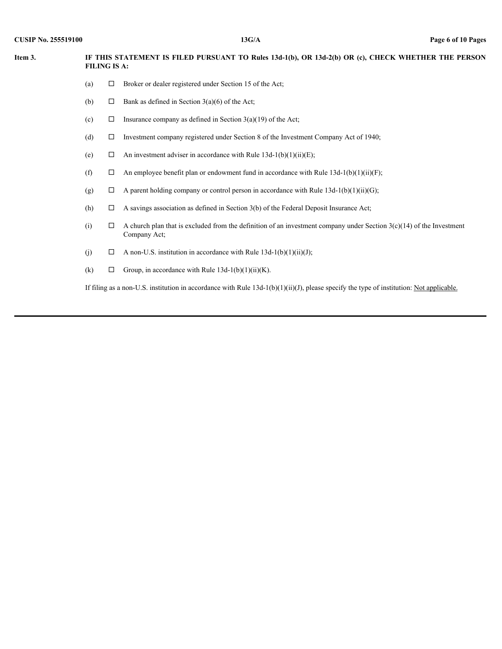| <b>CUSIP No. 255519100</b> | 13G/A | Page 6 of 10 Pages |  |
|----------------------------|-------|--------------------|--|
|                            |       |                    |  |

| <b>CUSIP No. 255519100</b> |     |                     | 13G/A                                                                                                                                  | Page 6 of 10 Pages |
|----------------------------|-----|---------------------|----------------------------------------------------------------------------------------------------------------------------------------|--------------------|
| Item 3.                    |     | <b>FILING IS A:</b> | IF THIS STATEMENT IS FILED PURSUANT TO Rules 13d-1(b), OR 13d-2(b) OR (c), CHECK WHETHER THE PERSON                                    |                    |
|                            | (a) |                     |                                                                                                                                        |                    |
|                            |     | $\Box$              | Broker or dealer registered under Section 15 of the Act;                                                                               |                    |
|                            | (b) | $\Box$              | Bank as defined in Section $3(a)(6)$ of the Act;                                                                                       |                    |
|                            | (c) | $\Box$              | Insurance company as defined in Section $3(a)(19)$ of the Act;                                                                         |                    |
|                            | (d) | $\Box$              | Investment company registered under Section 8 of the Investment Company Act of 1940;                                                   |                    |
|                            | (e) |                     | $\Box$ An investment adviser in accordance with Rule 13d-1(b)(1)(ii)(E);                                                               |                    |
|                            | (f) | $\Box$              | An employee benefit plan or endowment fund in accordance with Rule $13d-1(b)(1)(ii)(F)$ ;                                              |                    |
|                            | (g) | $\Box$              | A parent holding company or control person in accordance with Rule $13d-1(b)(1)(ii)(G)$ ;                                              |                    |
|                            | (h) | $\Box$              | A savings association as defined in Section 3(b) of the Federal Deposit Insurance Act;                                                 |                    |
|                            | (i) | $\Box$              | A church plan that is excluded from the definition of an investment company under Section $3(c)(14)$ of the Investment<br>Company Act; |                    |
|                            | (j) | $\Box$              | A non-U.S. institution in accordance with Rule $13d-1(b)(1)(ii)(J);$                                                                   |                    |
|                            | (k) | $\Box$              | Group, in accordance with Rule $13d-1(b)(1)(ii)(K)$ .                                                                                  |                    |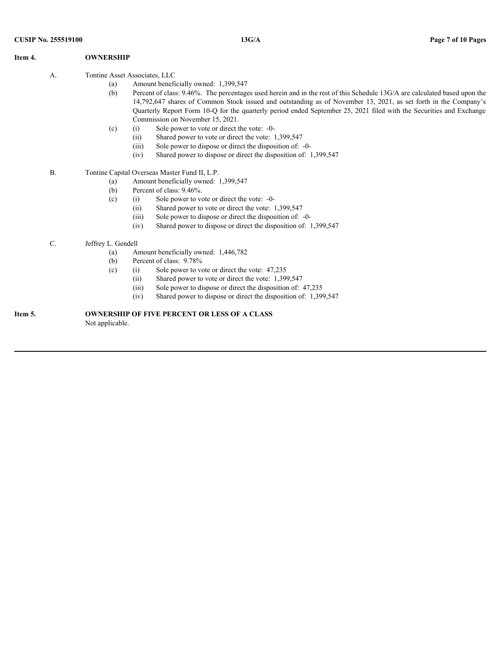| <b>CUSIP No. 255519100</b> |           |                                             | 13G/A                                                                                                                                                                                                                                                                                                                                                                                                                                           | Page 7 of 10 Pages |
|----------------------------|-----------|---------------------------------------------|-------------------------------------------------------------------------------------------------------------------------------------------------------------------------------------------------------------------------------------------------------------------------------------------------------------------------------------------------------------------------------------------------------------------------------------------------|--------------------|
| Item 4.                    |           | <b>OWNERSHIP</b>                            |                                                                                                                                                                                                                                                                                                                                                                                                                                                 |                    |
|                            | А.        | Tontine Asset Associates, LLC<br>(a)<br>(b) | Amount beneficially owned: 1,399,547<br>Percent of class: 9.46%. The percentages used herein and in the rest of this Schedule 13G/A are calculated based upon the<br>14,792,647 shares of Common Stock issued and outstanding as of November 13, 2021, as set forth in the Company's<br>Quarterly Report Form 10-Q for the quarterly period ended September 25, 2021 filed with the Securities and Exchange<br>Commission on November 15, 2021. |                    |
|                            |           | (c)                                         | Sole power to vote or direct the vote: -0-<br>(i)<br>Shared power to vote or direct the vote: 1,399,547<br>(ii)<br>Sole power to dispose or direct the disposition of: -0-<br>(iii)<br>Shared power to dispose or direct the disposition of: 1,399,547<br>(iv)                                                                                                                                                                                  |                    |
|                            | <b>B.</b> |                                             | Tontine Capital Overseas Master Fund II, L.P.                                                                                                                                                                                                                                                                                                                                                                                                   |                    |
|                            |           | (a)<br>(b)<br>(c)                           | Amount beneficially owned: 1,399,547<br>Percent of class: 9.46%.<br>(i) Sole power to vote or direct the vote: -0-<br>(ii)<br>Shared power to vote or direct the vote: 1,399,547<br>Sole power to dispose or direct the disposition of: -0-<br>(iii)<br>Shared power to dispose or direct the disposition of: 1,399,547<br>(iv)                                                                                                                 |                    |
|                            | $C$ .     | Jeffrey L. Gendell<br>(a)<br>(b)<br>(c)     | Amount beneficially owned: 1,446,782<br>Percent of class: 9.78%<br>Sole power to vote or direct the vote: 47,235<br>(i)<br>Shared power to vote or direct the vote: 1,399,547<br>(ii)<br>Sole power to dispose or direct the disposition of: 47,235<br>(iii)<br>Shared power to dispose or direct the disposition of: 1,399,547<br>(iv)                                                                                                         |                    |
|                            |           |                                             | OWNERSHIP OF FIVE PERCENT OR LESS OF A CLASS                                                                                                                                                                                                                                                                                                                                                                                                    |                    |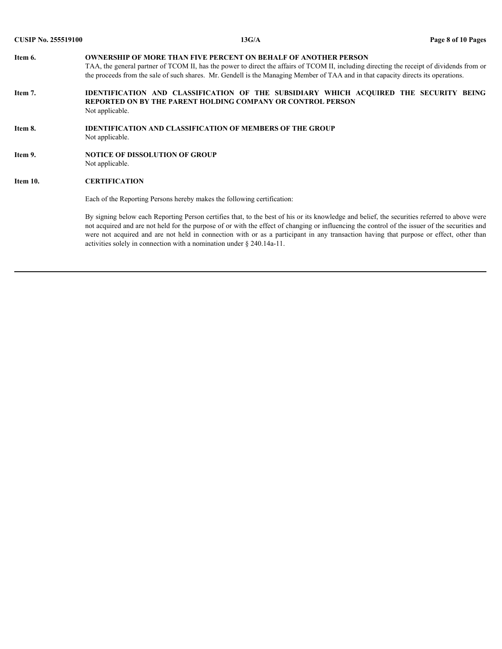| <b>CUSIP No. 255519100</b> | 13G/A                                                                                                                                                                                                                                                                                                                                                                                                                                                                                                             | Page 8 of 10 Pages |
|----------------------------|-------------------------------------------------------------------------------------------------------------------------------------------------------------------------------------------------------------------------------------------------------------------------------------------------------------------------------------------------------------------------------------------------------------------------------------------------------------------------------------------------------------------|--------------------|
| Item 6.                    | <b>OWNERSHIP OF MORE THAN FIVE PERCENT ON BEHALF OF ANOTHER PERSON</b><br>TAA, the general partner of TCOM II, has the power to direct the affairs of TCOM II, including directing the receipt of dividends from or<br>the proceeds from the sale of such shares. Mr. Gendell is the Managing Member of TAA and in that capacity directs its operations.                                                                                                                                                          |                    |
| Item 7.                    | IDENTIFICATION AND CLASSIFICATION OF THE SUBSIDIARY WHICH ACQUIRED THE SECURITY BEING<br>REPORTED ON BY THE PARENT HOLDING COMPANY OR CONTROL PERSON<br>Not applicable.                                                                                                                                                                                                                                                                                                                                           |                    |
| Item 8.                    | <b>IDENTIFICATION AND CLASSIFICATION OF MEMBERS OF THE GROUP</b><br>Not applicable.                                                                                                                                                                                                                                                                                                                                                                                                                               |                    |
| Item 9.                    | <b>NOTICE OF DISSOLUTION OF GROUP</b><br>Not applicable.                                                                                                                                                                                                                                                                                                                                                                                                                                                          |                    |
| Item 10.                   | <b>CERTIFICATION</b>                                                                                                                                                                                                                                                                                                                                                                                                                                                                                              |                    |
|                            | Each of the Reporting Persons hereby makes the following certification:                                                                                                                                                                                                                                                                                                                                                                                                                                           |                    |
|                            | By signing below each Reporting Person certifies that, to the best of his or its knowledge and belief, the securities referred to above were<br>not acquired and are not held for the purpose of or with the effect of changing or influencing the control of the issuer of the securities and<br>were not acquired and are not held in connection with or as a participant in any transaction having that purpose or effect, other than<br>activities solely in connection with a nomination under § 240.14a-11. |                    |
|                            |                                                                                                                                                                                                                                                                                                                                                                                                                                                                                                                   |                    |
|                            |                                                                                                                                                                                                                                                                                                                                                                                                                                                                                                                   |                    |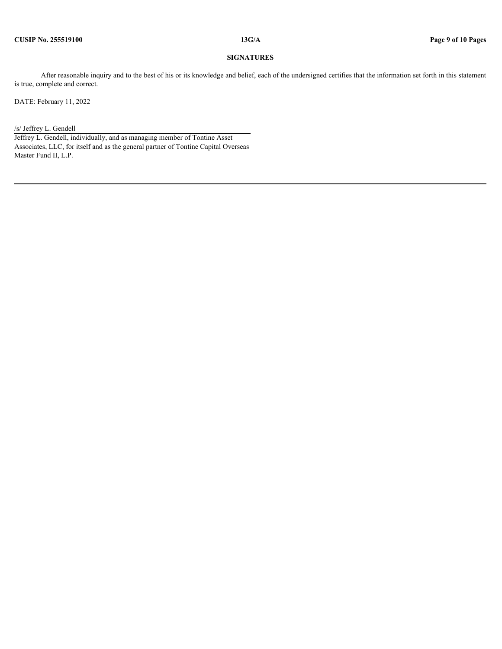#### **SIGNATURES**

After reasonable inquiry and to the best of his or its knowledge and belief, each of the undersigned certifies that the information set forth in this statement is true, complete and correct.

DATE: February 11, 2022

### /s/ Jeffrey L. Gendell

Jeffrey L. Gendell, individually, and as managing member of Tontine Asset Associates, LLC, for itself and as the general partner of Tontine Capital Overseas Master Fund II, L.P.